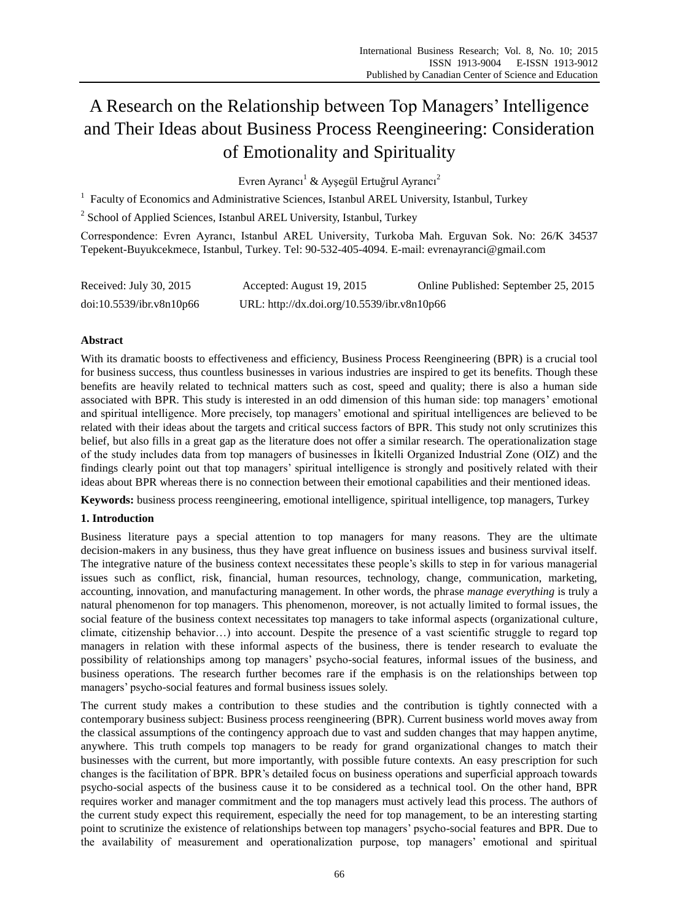# A Research on the Relationship between Top Managers' Intelligence and Their Ideas about Business Process Reengineering: Consideration of Emotionality and Spirituality

Evren Ayrancı<sup>1</sup> & Aysegül Ertuğrul Ayrancı<sup>2</sup>

<sup>1</sup> Faculty of Economics and Administrative Sciences, Istanbul AREL University, Istanbul, Turkey

 $2^{2}$  School of Applied Sciences, Istanbul AREL University, Istanbul, Turkey

Correspondence: Evren Ayrancı, Istanbul AREL University, Turkoba Mah. Erguvan Sok. No: 26/K 34537 Tepekent-Buyukcekmece, Istanbul, Turkey. Tel: 90-532-405-4094. E-mail: evrenayranci@gmail.com

| Received: July 30, 2015  | Accepted: August 19, 2015                   | Online Published: September 25, 2015 |
|--------------------------|---------------------------------------------|--------------------------------------|
| doi:10.5539/ibr.v8n10p66 | URL: http://dx.doi.org/10.5539/ibr.v8n10p66 |                                      |

### **Abstract**

With its dramatic boosts to effectiveness and efficiency, Business Process Reengineering (BPR) is a crucial tool for business success, thus countless businesses in various industries are inspired to get its benefits. Though these benefits are heavily related to technical matters such as cost, speed and quality; there is also a human side associated with BPR. This study is interested in an odd dimension of this human side: top managers' emotional and spiritual intelligence. More precisely, top managers' emotional and spiritual intelligences are believed to be related with their ideas about the targets and critical success factors of BPR. This study not only scrutinizes this belief, but also fills in a great gap as the literature does not offer a similar research. The operationalization stage of the study includes data from top managers of businesses in İkitelli Organized Industrial Zone (OIZ) and the findings clearly point out that top managers' spiritual intelligence is strongly and positively related with their ideas about BPR whereas there is no connection between their emotional capabilities and their mentioned ideas.

**Keywords:** business process reengineering, emotional intelligence, spiritual intelligence, top managers, Turkey

# **1. Introduction**

Business literature pays a special attention to top managers for many reasons. They are the ultimate decision-makers in any business, thus they have great influence on business issues and business survival itself. The integrative nature of the business context necessitates these people's skills to step in for various managerial issues such as conflict, risk, financial, human resources, technology, change, communication, marketing, accounting, innovation, and manufacturing management. In other words, the phrase *manage everything* is truly a natural phenomenon for top managers. This phenomenon, moreover, is not actually limited to formal issues, the social feature of the business context necessitates top managers to take informal aspects (organizational culture, climate, citizenship behavior…) into account. Despite the presence of a vast scientific struggle to regard top managers in relation with these informal aspects of the business, there is tender research to evaluate the possibility of relationships among top managers' psycho-social features, informal issues of the business, and business operations. The research further becomes rare if the emphasis is on the relationships between top managers' psycho-social features and formal business issues solely.

The current study makes a contribution to these studies and the contribution is tightly connected with a contemporary business subject: Business process reengineering (BPR). Current business world moves away from the classical assumptions of the contingency approach due to vast and sudden changes that may happen anytime, anywhere. This truth compels top managers to be ready for grand organizational changes to match their businesses with the current, but more importantly, with possible future contexts. An easy prescription for such changes is the facilitation of BPR. BPR's detailed focus on business operations and superficial approach towards psycho-social aspects of the business cause it to be considered as a technical tool. On the other hand, BPR requires worker and manager commitment and the top managers must actively lead this process. The authors of the current study expect this requirement, especially the need for top management, to be an interesting starting point to scrutinize the existence of relationships between top managers' psycho-social features and BPR. Due to the availability of measurement and operationalization purpose, top managers' emotional and spiritual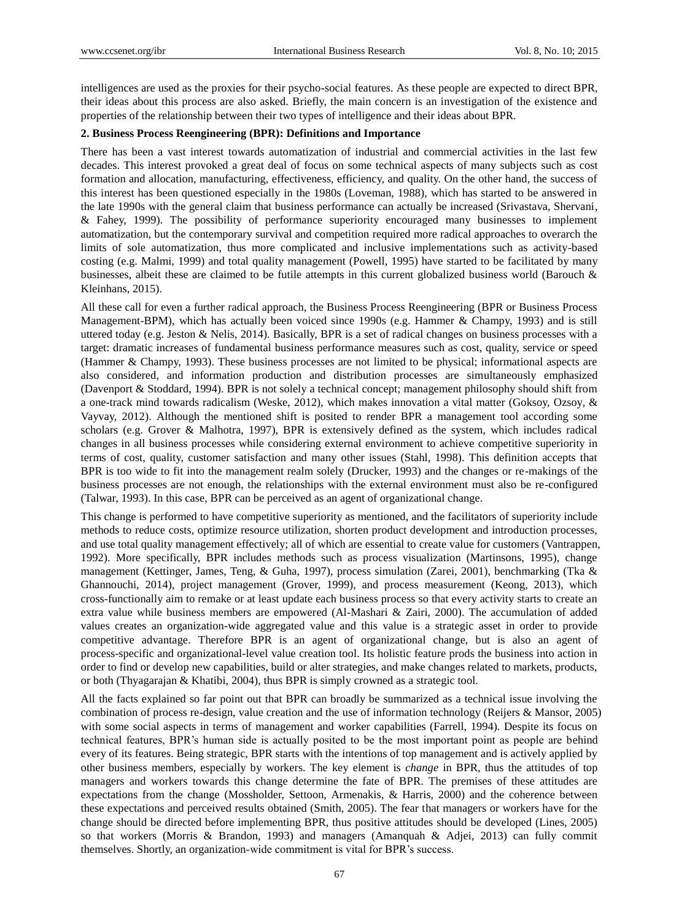intelligences are used as the proxies for their psycho-social features. As these people are expected to direct BPR, their ideas about this process are also asked. Briefly, the main concern is an investigation of the existence and properties of the relationship between their two types of intelligence and their ideas about BPR.

## **2. Business Process Reengineering (BPR): Definitions and Importance**

There has been a vast interest towards automatization of industrial and commercial activities in the last few decades. This interest provoked a great deal of focus on some technical aspects of many subjects such as cost formation and allocation, manufacturing, effectiveness, efficiency, and quality. On the other hand, the success of this interest has been questioned especially in the 1980s (Loveman, 1988), which has started to be answered in the late 1990s with the general claim that business performance can actually be increased (Srivastava, Shervani, & Fahey, 1999). The possibility of performance superiority encouraged many businesses to implement automatization, but the contemporary survival and competition required more radical approaches to overarch the limits of sole automatization, thus more complicated and inclusive implementations such as activity-based costing (e.g. Malmi, 1999) and total quality management (Powell, 1995) have started to be facilitated by many businesses, albeit these are claimed to be futile attempts in this current globalized business world (Barouch & Kleinhans, 2015).

All these call for even a further radical approach, the Business Process Reengineering (BPR or Business Process Management-BPM), which has actually been voiced since 1990s (e.g. Hammer & Champy, 1993) and is still uttered today (e.g. Jeston & Nelis, 2014). Basically, BPR is a set of radical changes on business processes with a target: dramatic increases of fundamental business performance measures such as cost, quality, service or speed (Hammer & Champy, 1993). These business processes are not limited to be physical; informational aspects are also considered, and information production and distribution processes are simultaneously emphasized (Davenport & Stoddard, 1994). BPR is not solely a technical concept; management philosophy should shift from a one-track mind towards radicalism (Weske, 2012), which makes innovation a vital matter (Goksoy, Ozsoy, & Vayvay, 2012). Although the mentioned shift is posited to render BPR a management tool according some scholars (e.g. Grover & Malhotra, 1997), BPR is extensively defined as the system, which includes radical changes in all business processes while considering external environment to achieve competitive superiority in terms of cost, quality, customer satisfaction and many other issues (Stahl, 1998). This definition accepts that BPR is too wide to fit into the management realm solely (Drucker, 1993) and the changes or re-makings of the business processes are not enough, the relationships with the external environment must also be re-configured (Talwar, 1993). In this case, BPR can be perceived as an agent of organizational change.

This change is performed to have competitive superiority as mentioned, and the facilitators of superiority include methods to reduce costs, optimize resource utilization, shorten product development and introduction processes, and use total quality management effectively; all of which are essential to create value for customers (Vantrappen, 1992). More specifically, BPR includes methods such as process visualization (Martinsons, 1995), change management (Kettinger, James, Teng, & Guha, 1997), process simulation (Zarei, 2001), benchmarking (Tka & Ghannouchi, 2014), project management (Grover, 1999), and process measurement (Keong, 2013), which cross-functionally aim to remake or at least update each business process so that every activity starts to create an extra value while business members are empowered (Al-Mashari & Zairi, 2000). The accumulation of added values creates an organization-wide aggregated value and this value is a strategic asset in order to provide competitive advantage. Therefore BPR is an agent of organizational change, but is also an agent of process-specific and organizational-level value creation tool. Its holistic feature prods the business into action in order to find or develop new capabilities, build or alter strategies, and make changes related to markets, products, or both (Thyagarajan & Khatibi, 2004), thus BPR is simply crowned as a strategic tool.

All the facts explained so far point out that BPR can broadly be summarized as a technical issue involving the combination of process re-design, value creation and the use of information technology (Reijers & Mansor, 2005) with some social aspects in terms of management and worker capabilities (Farrell, 1994). Despite its focus on technical features, BPR's human side is actually posited to be the most important point as people are behind every of its features. Being strategic, BPR starts with the intentions of top management and is actively applied by other business members, especially by workers. The key element is *change* in BPR, thus the attitudes of top managers and workers towards this change determine the fate of BPR. The premises of these attitudes are expectations from the change (Mossholder, Settoon, Armenakis, & Harris, 2000) and the coherence between these expectations and perceived results obtained (Smith, 2005). The fear that managers or workers have for the change should be directed before implementing BPR, thus positive attitudes should be developed (Lines, 2005) so that workers (Morris & Brandon, 1993) and managers (Amanquah & Adjei, 2013) can fully commit themselves. Shortly, an organization-wide commitment is vital for BPR's success.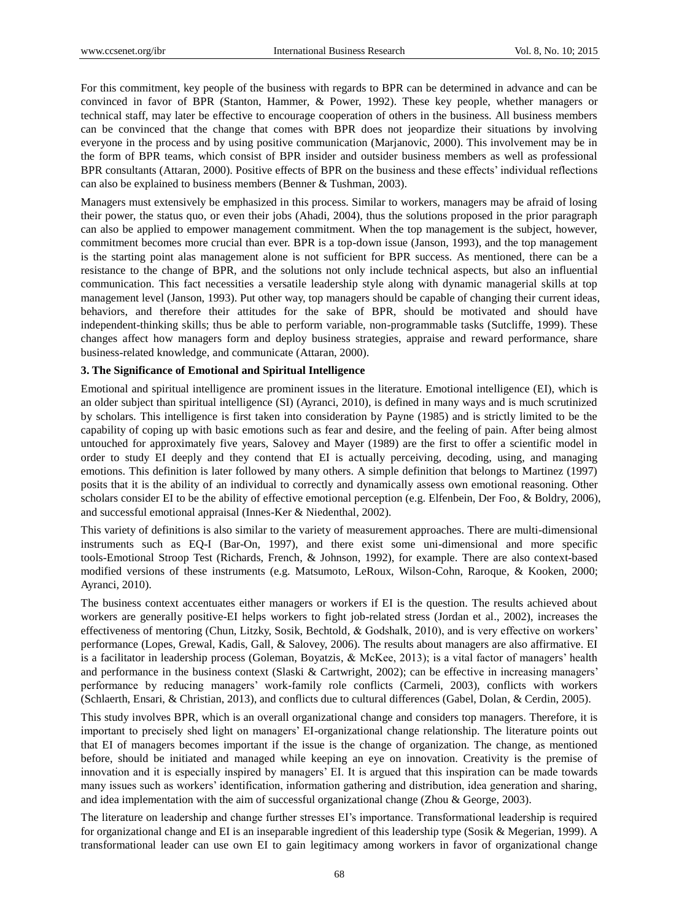For this commitment, key people of the business with regards to BPR can be determined in advance and can be convinced in favor of BPR (Stanton, Hammer, & Power, 1992). These key people, whether managers or technical staff, may later be effective to encourage cooperation of others in the business. All business members can be convinced that the change that comes with BPR does not jeopardize their situations by involving everyone in the process and by using positive communication (Marjanovic, 2000). This involvement may be in the form of BPR teams, which consist of BPR insider and outsider business members as well as professional BPR consultants (Attaran, 2000). Positive effects of BPR on the business and these effects' individual reflections can also be explained to business members (Benner & Tushman, 2003).

Managers must extensively be emphasized in this process. Similar to workers, managers may be afraid of losing their power, the status quo, or even their jobs (Ahadi, 2004), thus the solutions proposed in the prior paragraph can also be applied to empower management commitment. When the top management is the subject, however, commitment becomes more crucial than ever. BPR is a top-down issue (Janson, 1993), and the top management is the starting point alas management alone is not sufficient for BPR success. As mentioned, there can be a resistance to the change of BPR, and the solutions not only include technical aspects, but also an influential communication. This fact necessities a versatile leadership style along with dynamic managerial skills at top management level (Janson, 1993). Put other way, top managers should be capable of changing their current ideas, behaviors, and therefore their attitudes for the sake of BPR, should be motivated and should have independent-thinking skills; thus be able to perform variable, non-programmable tasks (Sutcliffe, 1999). These changes affect how managers form and deploy business strategies, appraise and reward performance, share business-related knowledge, and communicate (Attaran, 2000).

#### **3. The Significance of Emotional and Spiritual Intelligence**

Emotional and spiritual intelligence are prominent issues in the literature. Emotional intelligence (EI), which is an older subject than spiritual intelligence (SI) (Ayranci, 2010), is defined in many ways and is much scrutinized by scholars. This intelligence is first taken into consideration by Payne (1985) and is strictly limited to be the capability of coping up with basic emotions such as fear and desire, and the feeling of pain. After being almost untouched for approximately five years, Salovey and Mayer (1989) are the first to offer a scientific model in order to study EI deeply and they contend that EI is actually perceiving, decoding, using, and managing emotions. This definition is later followed by many others. A simple definition that belongs to Martinez (1997) posits that it is the ability of an individual to correctly and dynamically assess own emotional reasoning. Other scholars consider EI to be the ability of effective emotional perception (e.g. Elfenbein, Der Foo, & Boldry, 2006), and successful emotional appraisal (Innes-Ker & Niedenthal, 2002).

This variety of definitions is also similar to the variety of measurement approaches. There are multi-dimensional instruments such as EQ-I (Bar-On, 1997), and there exist some uni-dimensional and more specific tools-Emotional Stroop Test (Richards, French, & Johnson, 1992), for example. There are also context-based modified versions of these instruments (e.g. Matsumoto, LeRoux, Wilson-Cohn, Raroque, & Kooken, 2000; Ayranci, 2010).

The business context accentuates either managers or workers if EI is the question. The results achieved about workers are generally positive-EI helps workers to fight job-related stress (Jordan et al., 2002), increases the effectiveness of mentoring (Chun, Litzky, Sosik, Bechtold, & Godshalk, 2010), and is very effective on workers' performance (Lopes, Grewal, Kadis, Gall, & Salovey, 2006). The results about managers are also affirmative. EI is a facilitator in leadership process (Goleman, Boyatzis, & McKee, 2013); is a vital factor of managers' health and performance in the business context (Slaski & Cartwright, 2002); can be effective in increasing managers' performance by reducing managers' work-family role conflicts (Carmeli, 2003), conflicts with workers (Schlaerth, Ensari, & Christian, 2013), and conflicts due to cultural differences (Gabel, Dolan, & Cerdin, 2005).

This study involves BPR, which is an overall organizational change and considers top managers. Therefore, it is important to precisely shed light on managers' EI-organizational change relationship. The literature points out that EI of managers becomes important if the issue is the change of organization. The change, as mentioned before, should be initiated and managed while keeping an eye on innovation. Creativity is the premise of innovation and it is especially inspired by managers' EI. It is argued that this inspiration can be made towards many issues such as workers' identification, information gathering and distribution, idea generation and sharing, and idea implementation with the aim of successful organizational change (Zhou & George, 2003).

The literature on leadership and change further stresses EI's importance. Transformational leadership is required for organizational change and EI is an inseparable ingredient of this leadership type (Sosik & Megerian, 1999). A transformational leader can use own EI to gain legitimacy among workers in favor of organizational change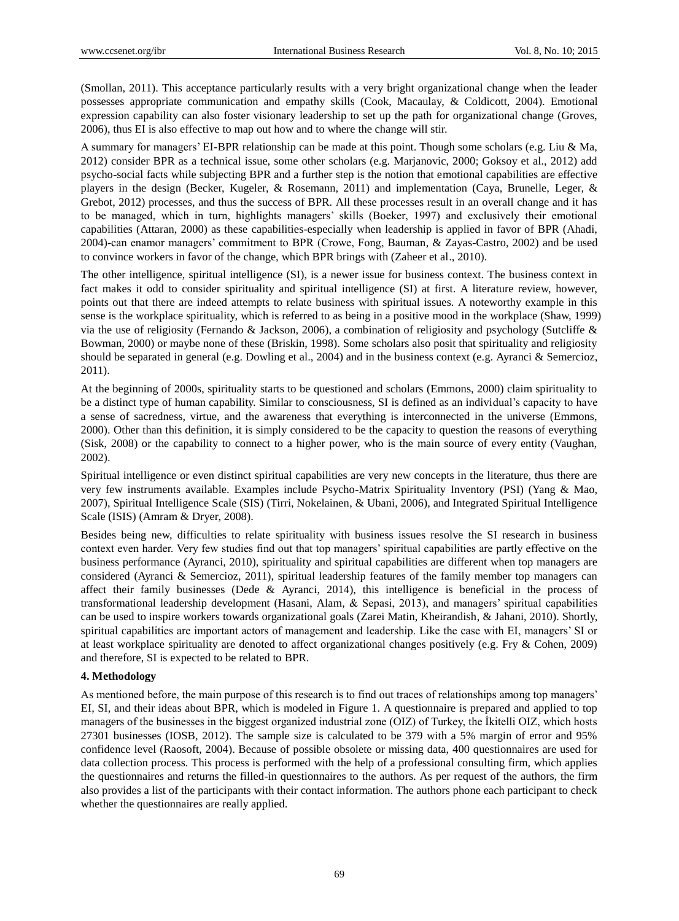(Smollan, 2011). This acceptance particularly results with a very bright organizational change when the leader possesses appropriate communication and empathy skills (Cook, Macaulay, & Coldicott, 2004). Emotional expression capability can also foster visionary leadership to set up the path for organizational change (Groves, 2006), thus EI is also effective to map out how and to where the change will stir.

A summary for managers' EI-BPR relationship can be made at this point. Though some scholars (e.g. Liu & Ma, 2012) consider BPR as a technical issue, some other scholars (e.g. Marjanovic, 2000; Goksoy et al., 2012) add psycho-social facts while subjecting BPR and a further step is the notion that emotional capabilities are effective players in the design (Becker, Kugeler, & Rosemann, 2011) and implementation (Caya, Brunelle, Leger, & Grebot, 2012) processes, and thus the success of BPR. All these processes result in an overall change and it has to be managed, which in turn, highlights managers' skills (Boeker, 1997) and exclusively their emotional capabilities (Attaran, 2000) as these capabilities-especially when leadership is applied in favor of BPR (Ahadi, 2004)-can enamor managers' commitment to BPR (Crowe, Fong, Bauman, & Zayas-Castro, 2002) and be used to convince workers in favor of the change, which BPR brings with (Zaheer et al., 2010).

The other intelligence, spiritual intelligence (SI), is a newer issue for business context. The business context in fact makes it odd to consider spirituality and spiritual intelligence (SI) at first. A literature review, however, points out that there are indeed attempts to relate business with spiritual issues. A noteworthy example in this sense is the workplace spirituality, which is referred to as being in a positive mood in the workplace (Shaw, 1999) via the use of religiosity (Fernando & Jackson, 2006), a combination of religiosity and psychology (Sutcliffe  $\&$ Bowman, 2000) or maybe none of these (Briskin, 1998). Some scholars also posit that spirituality and religiosity should be separated in general (e.g. Dowling et al., 2004) and in the business context (e.g. Ayranci & Semercioz, 2011).

At the beginning of 2000s, spirituality starts to be questioned and scholars (Emmons, 2000) claim spirituality to be a distinct type of human capability. Similar to consciousness, SI is defined as an individual's capacity to have a sense of sacredness, virtue, and the awareness that everything is interconnected in the universe (Emmons, 2000). Other than this definition, it is simply considered to be the capacity to question the reasons of everything (Sisk, 2008) or the capability to connect to a higher power, who is the main source of every entity (Vaughan, 2002).

Spiritual intelligence or even distinct spiritual capabilities are very new concepts in the literature, thus there are very few instruments available. Examples include Psycho-Matrix Spirituality Inventory (PSI) (Yang & Mao, 2007), Spiritual Intelligence Scale (SIS) (Tirri, Nokelainen, & Ubani, 2006), and Integrated Spiritual Intelligence Scale (ISIS) (Amram & Dryer, 2008).

Besides being new, difficulties to relate spirituality with business issues resolve the SI research in business context even harder. Very few studies find out that top managers' spiritual capabilities are partly effective on the business performance (Ayranci, 2010), spirituality and spiritual capabilities are different when top managers are considered (Ayranci & Semercioz, 2011), spiritual leadership features of the family member top managers can affect their family businesses (Dede  $\&$  Ayranci, 2014), this intelligence is beneficial in the process of transformational leadership development (Hasani, Alam, & Sepasi, 2013), and managers' spiritual capabilities can be used to inspire workers towards organizational goals (Zarei Matin, Kheirandish, & Jahani, 2010). Shortly, spiritual capabilities are important actors of management and leadership. Like the case with EI, managers' SI or at least workplace spirituality are denoted to affect organizational changes positively (e.g. Fry & Cohen, 2009) and therefore, SI is expected to be related to BPR.

# **4. Methodology**

As mentioned before, the main purpose of this research is to find out traces of relationships among top managers' EI, SI, and their ideas about BPR, which is modeled in Figure 1. A questionnaire is prepared and applied to top managers of the businesses in the biggest organized industrial zone (OIZ) of Turkey, the İkitelli OIZ, which hosts 27301 businesses (IOSB, 2012). The sample size is calculated to be 379 with a 5% margin of error and 95% confidence level (Raosoft, 2004). Because of possible obsolete or missing data, 400 questionnaires are used for data collection process. This process is performed with the help of a professional consulting firm, which applies the questionnaires and returns the filled-in questionnaires to the authors. As per request of the authors, the firm also provides a list of the participants with their contact information. The authors phone each participant to check whether the questionnaires are really applied.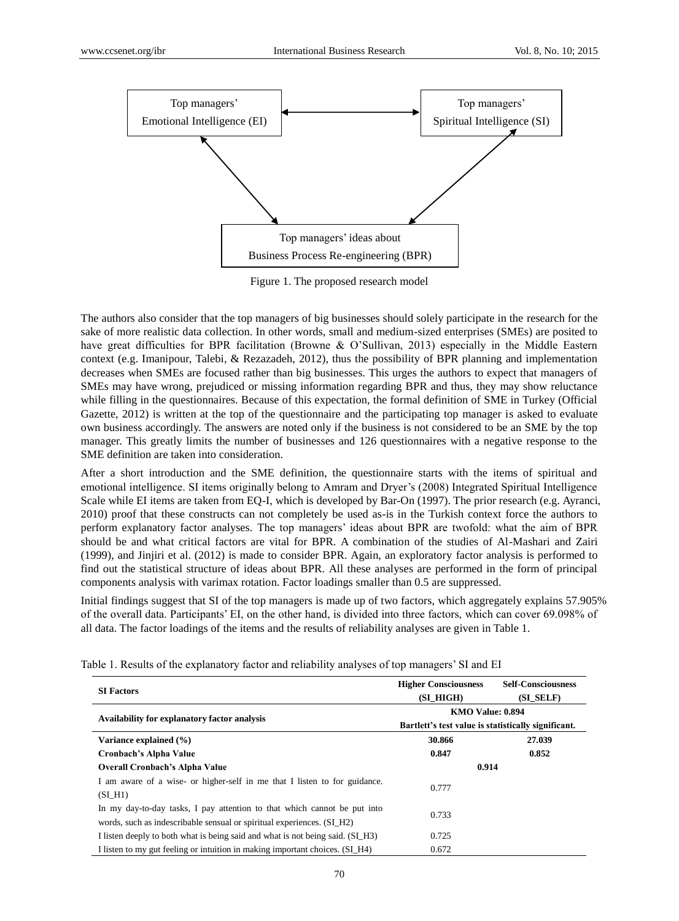

Figure 1. The proposed research model

The authors also consider that the top managers of big businesses should solely participate in the research for the sake of more realistic data collection. In other words, small and medium-sized enterprises (SMEs) are posited to have great difficulties for BPR facilitation (Browne & O'Sullivan, 2013) especially in the Middle Eastern context (e.g. Imanipour, Talebi, & Rezazadeh, 2012), thus the possibility of BPR planning and implementation decreases when SMEs are focused rather than big businesses. This urges the authors to expect that managers of SMEs may have wrong, prejudiced or missing information regarding BPR and thus, they may show reluctance while filling in the questionnaires. Because of this expectation, the formal definition of SME in Turkey (Official Gazette, 2012) is written at the top of the questionnaire and the participating top manager is asked to evaluate own business accordingly. The answers are noted only if the business is not considered to be an SME by the top manager. This greatly limits the number of businesses and 126 questionnaires with a negative response to the SME definition are taken into consideration.

After a short introduction and the SME definition, the questionnaire starts with the items of spiritual and emotional intelligence. SI items originally belong to Amram and Dryer's (2008) Integrated Spiritual Intelligence Scale while EI items are taken from EQ-I, which is developed by Bar-On (1997). The prior research (e.g. Ayranci, 2010) proof that these constructs can not completely be used as-is in the Turkish context force the authors to perform explanatory factor analyses. The top managers' ideas about BPR are twofold: what the aim of BPR should be and what critical factors are vital for BPR. A combination of the studies of Al-Mashari and Zairi (1999), and Jinjiri et al. (2012) is made to consider BPR. Again, an exploratory factor analysis is performed to find out the statistical structure of ideas about BPR. All these analyses are performed in the form of principal components analysis with varimax rotation. Factor loadings smaller than 0.5 are suppressed.

Initial findings suggest that SI of the top managers is made up of two factors, which aggregately explains 57.905% of the overall data. Participants' EI, on the other hand, is divided into three factors, which can cover 69.098% of all data. The factor loadings of the items and the results of reliability analyses are given in Table 1.

| <b>SI Factors</b>                                                                                                                                  | <b>Higher Consciousness</b><br>(SI HIGH)            | <b>Self-Consciousness</b><br>(SI SELF) |  |
|----------------------------------------------------------------------------------------------------------------------------------------------------|-----------------------------------------------------|----------------------------------------|--|
|                                                                                                                                                    | KMO Value: 0.894                                    |                                        |  |
| Availability for explanatory factor analysis                                                                                                       | Bartlett's test value is statistically significant. |                                        |  |
| Variance explained (%)                                                                                                                             | 30.866                                              | 27.039                                 |  |
| Cronbach's Alpha Value                                                                                                                             | 0.847                                               | 0.852                                  |  |
| <b>Overall Cronbach's Alpha Value</b>                                                                                                              | 0.914                                               |                                        |  |
| I am aware of a wise- or higher-self in me that I listen to for guidance.<br>(SI <sub>H1</sub> )                                                   | 0.777                                               |                                        |  |
| In my day-to-day tasks, I pay attention to that which cannot be put into<br>words, such as indescribable sensual or spiritual experiences. (SI_H2) | 0.733                                               |                                        |  |
| I listen deeply to both what is being said and what is not being said. (SI H3)                                                                     | 0.725                                               |                                        |  |
| I listen to my gut feeling or intuition in making important choices. (SI H4)                                                                       | 0.672                                               |                                        |  |

Table 1. Results of the explanatory factor and reliability analyses of top managers' SI and EI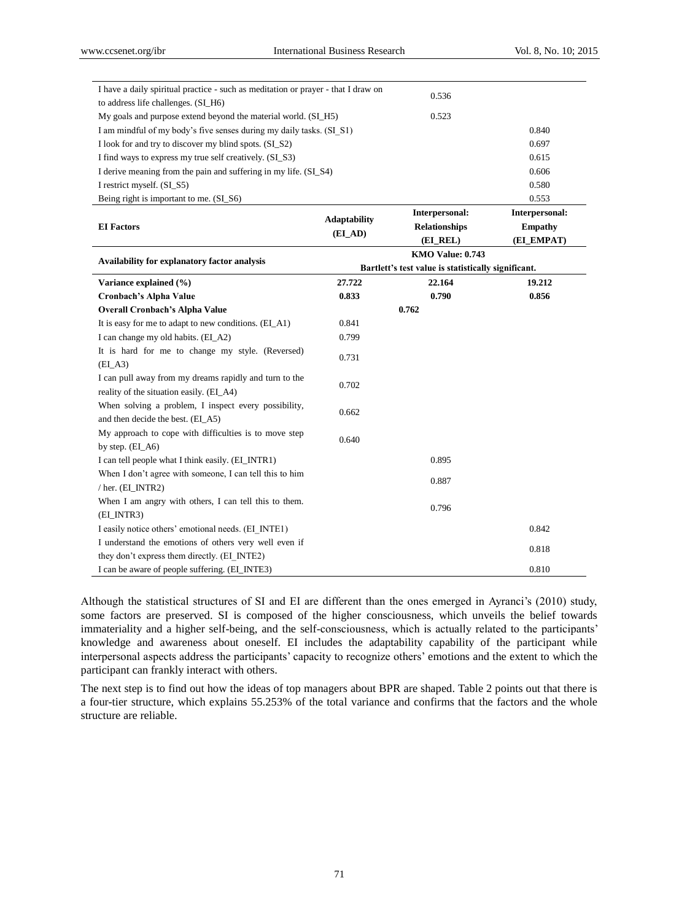| I have a daily spiritual practice - such as meditation or prayer - that I draw on<br>0.536         |                                                     |                         |                |  |
|----------------------------------------------------------------------------------------------------|-----------------------------------------------------|-------------------------|----------------|--|
| to address life challenges. (SI_H6)                                                                |                                                     |                         |                |  |
| My goals and purpose extend beyond the material world. (SI_H5)                                     |                                                     | 0.523                   |                |  |
| I am mindful of my body's five senses during my daily tasks. (SI_S1)                               |                                                     |                         | 0.840          |  |
| I look for and try to discover my blind spots. (SI_S2)                                             |                                                     |                         | 0.697          |  |
| I find ways to express my true self creatively. (SI_S3)                                            |                                                     |                         | 0.615          |  |
| I derive meaning from the pain and suffering in my life. (SI_S4)                                   |                                                     | 0.606                   |                |  |
| I restrict myself. (SI_S5)                                                                         |                                                     |                         | 0.580          |  |
| Being right is important to me. (SI_S6)                                                            |                                                     |                         | 0.553          |  |
|                                                                                                    | <b>Adaptability</b><br>$(EI_A D)$                   | Interpersonal:          | Interpersonal: |  |
| <b>EI</b> Factors                                                                                  |                                                     | <b>Relationships</b>    | <b>Empathy</b> |  |
|                                                                                                    |                                                     | (EI_REL)                | (EI_EMPAT)     |  |
|                                                                                                    |                                                     | <b>KMO Value: 0.743</b> |                |  |
| Availability for explanatory factor analysis                                                       | Bartlett's test value is statistically significant. |                         |                |  |
| Variance explained (%)                                                                             | 27.722                                              | 22.164                  | 19.212         |  |
| <b>Cronbach's Alpha Value</b>                                                                      | 0.833                                               | 0.790                   | 0.856          |  |
| <b>Overall Cronbach's Alpha Value</b>                                                              | 0.762                                               |                         |                |  |
| It is easy for me to adapt to new conditions. (EI_A1)                                              | 0.841                                               |                         |                |  |
| I can change my old habits. (EI_A2)                                                                | 0.799                                               |                         |                |  |
| It is hard for me to change my style. (Reversed)                                                   |                                                     |                         |                |  |
| $(EI_A3)$                                                                                          | 0.731                                               |                         |                |  |
| I can pull away from my dreams rapidly and turn to the<br>reality of the situation easily. (EI_A4) | 0.702                                               |                         |                |  |
| When solving a problem, I inspect every possibility,<br>and then decide the best. (EI_A5)          | 0.662                                               |                         |                |  |
| My approach to cope with difficulties is to move step<br>by step. $(EI_A6)$                        | 0.640                                               |                         |                |  |
| I can tell people what I think easily. (EI_INTR1)                                                  |                                                     | 0.895                   |                |  |
| When I don't agree with someone, I can tell this to him                                            |                                                     |                         |                |  |
| / her. $(EI_INTR2)$                                                                                |                                                     | 0.887                   |                |  |
| When I am angry with others, I can tell this to them.                                              |                                                     |                         |                |  |
| (EL_INTR3)                                                                                         |                                                     | 0.796                   |                |  |
| I easily notice others' emotional needs. (EI INTE1)                                                |                                                     |                         | 0.842          |  |
| I understand the emotions of others very well even if                                              |                                                     |                         |                |  |
| they don't express them directly. (EI INTE2)                                                       |                                                     |                         | 0.818          |  |
| I can be aware of people suffering. (EL_INTE3)                                                     |                                                     |                         | 0.810          |  |

Although the statistical structures of SI and EI are different than the ones emerged in Ayranci's (2010) study, some factors are preserved. SI is composed of the higher consciousness, which unveils the belief towards immateriality and a higher self-being, and the self-consciousness, which is actually related to the participants' knowledge and awareness about oneself. EI includes the adaptability capability of the participant while interpersonal aspects address the participants' capacity to recognize others' emotions and the extent to which the participant can frankly interact with others.

The next step is to find out how the ideas of top managers about BPR are shaped. Table 2 points out that there is a four-tier structure, which explains 55.253% of the total variance and confirms that the factors and the whole structure are reliable.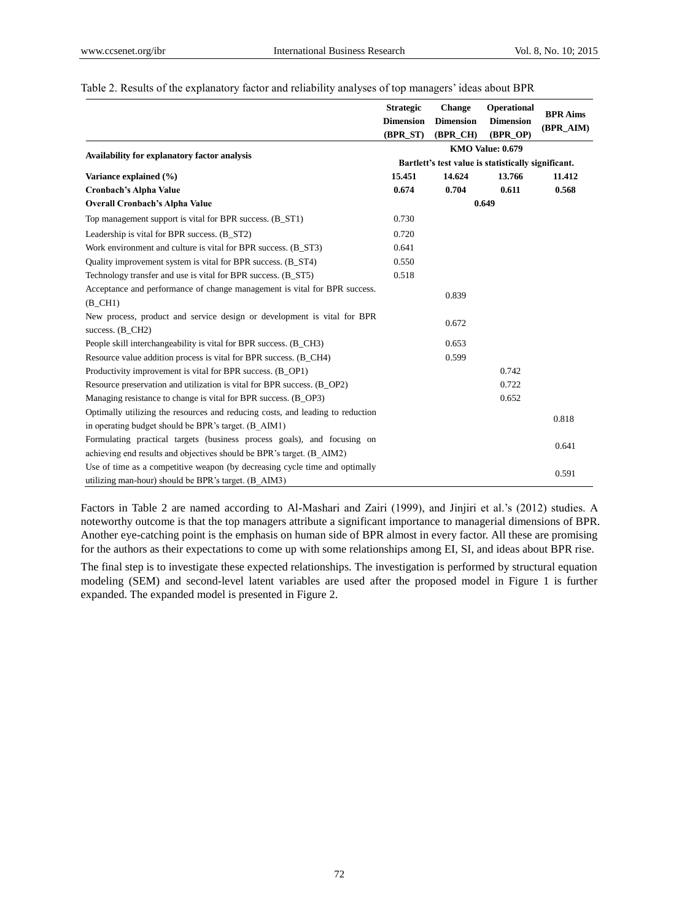|                                                                                | <b>Strategic</b><br><b>Dimension</b><br>(BPR_ST) | <b>Change</b><br><b>Dimension</b><br>(BPR_CH) | Operational<br><b>Dimension</b><br>(BPR_OP)         | <b>BPR</b> Aims<br>(BPR_AIM) |
|--------------------------------------------------------------------------------|--------------------------------------------------|-----------------------------------------------|-----------------------------------------------------|------------------------------|
| Availability for explanatory factor analysis                                   |                                                  |                                               | <b>KMO Value: 0.679</b>                             |                              |
|                                                                                |                                                  |                                               | Bartlett's test value is statistically significant. |                              |
| Variance explained (%)                                                         | 15.451                                           | 14.624                                        | 13.766                                              | 11.412                       |
| <b>Cronbach's Alpha Value</b>                                                  | 0.674                                            | 0.704                                         | 0.611                                               | 0.568                        |
| <b>Overall Cronbach's Alpha Value</b>                                          | 0.649                                            |                                               |                                                     |                              |
| Top management support is vital for BPR success. (B_ST1)                       | 0.730                                            |                                               |                                                     |                              |
| Leadership is vital for BPR success. (B_ST2)                                   | 0.720                                            |                                               |                                                     |                              |
| Work environment and culture is vital for BPR success. (B ST3)                 | 0.641                                            |                                               |                                                     |                              |
| Quality improvement system is vital for BPR success. (B_ST4)                   | 0.550                                            |                                               |                                                     |                              |
| Technology transfer and use is vital for BPR success. (B_ST5)                  | 0.518                                            |                                               |                                                     |                              |
| Acceptance and performance of change management is vital for BPR success.      |                                                  |                                               |                                                     |                              |
| (B CH1)                                                                        |                                                  | 0.839                                         |                                                     |                              |
| New process, product and service design or development is vital for BPR        |                                                  | 0.672                                         |                                                     |                              |
| success. $(B \ CH2)$                                                           |                                                  |                                               |                                                     |                              |
| People skill interchangeability is vital for BPR success. (B_CH3)              |                                                  | 0.653                                         |                                                     |                              |
| Resource value addition process is vital for BPR success. (B CH4)              |                                                  | 0.599                                         |                                                     |                              |
| Productivity improvement is vital for BPR success. (B_OP1)                     |                                                  |                                               | 0.742                                               |                              |
| Resource preservation and utilization is vital for BPR success. (B_OP2)        |                                                  |                                               | 0.722                                               |                              |
| Managing resistance to change is vital for BPR success. (B_OP3)                |                                                  |                                               | 0.652                                               |                              |
| Optimally utilizing the resources and reducing costs, and leading to reduction |                                                  |                                               |                                                     | 0.818                        |
| in operating budget should be BPR's target. (B AIM1)                           |                                                  |                                               |                                                     |                              |
| Formulating practical targets (business process goals), and focusing on        |                                                  |                                               |                                                     | 0.641                        |
| achieving end results and objectives should be BPR's target. (B AIM2)          |                                                  |                                               |                                                     |                              |
| Use of time as a competitive weapon (by decreasing cycle time and optimally    |                                                  |                                               |                                                     | 0.591                        |
| utilizing man-hour) should be BPR's target. (B AIM3)                           |                                                  |                                               |                                                     |                              |

#### Table 2. Results of the explanatory factor and reliability analyses of top managers' ideas about BPR

Factors in Table 2 are named according to Al-Mashari and Zairi (1999), and Jinjiri et al.'s (2012) studies. A noteworthy outcome is that the top managers attribute a significant importance to managerial dimensions of BPR. Another eye-catching point is the emphasis on human side of BPR almost in every factor. All these are promising for the authors as their expectations to come up with some relationships among EI, SI, and ideas about BPR rise.

The final step is to investigate these expected relationships. The investigation is performed by structural equation modeling (SEM) and second-level latent variables are used after the proposed model in Figure 1 is further expanded. The expanded model is presented in Figure 2.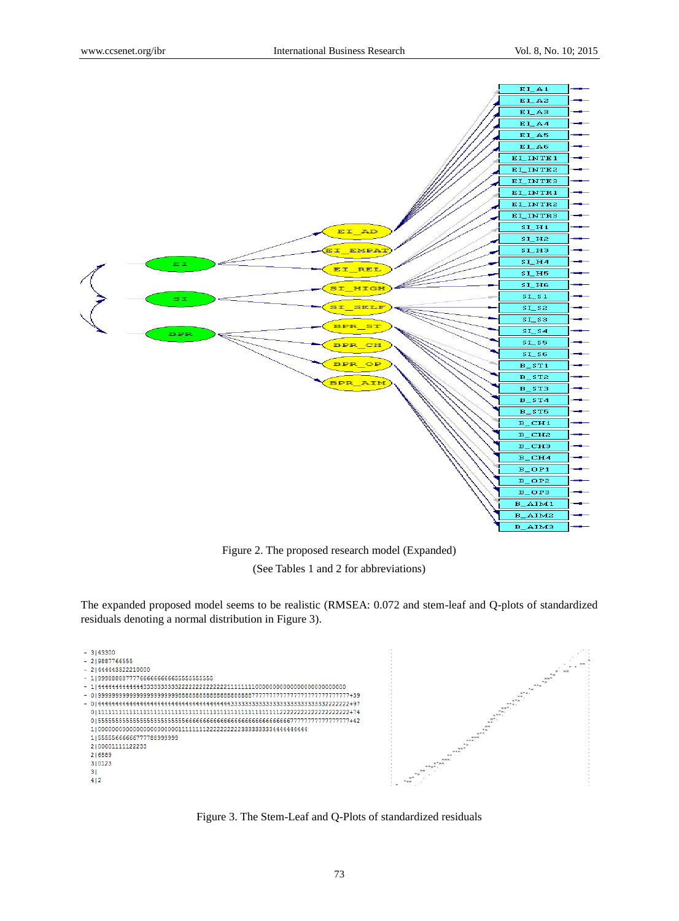

Figure 2. The proposed research model (Expanded) (See Tables 1 and 2 for abbreviations)

The expanded proposed model seems to be realistic (RMSEA: 0.072 and stem-leaf and Q-plots of standardized residuals denoting a normal distribution in Figure 3).



Figure 3. The Stem-Leaf and Q-Plots of standardized residuals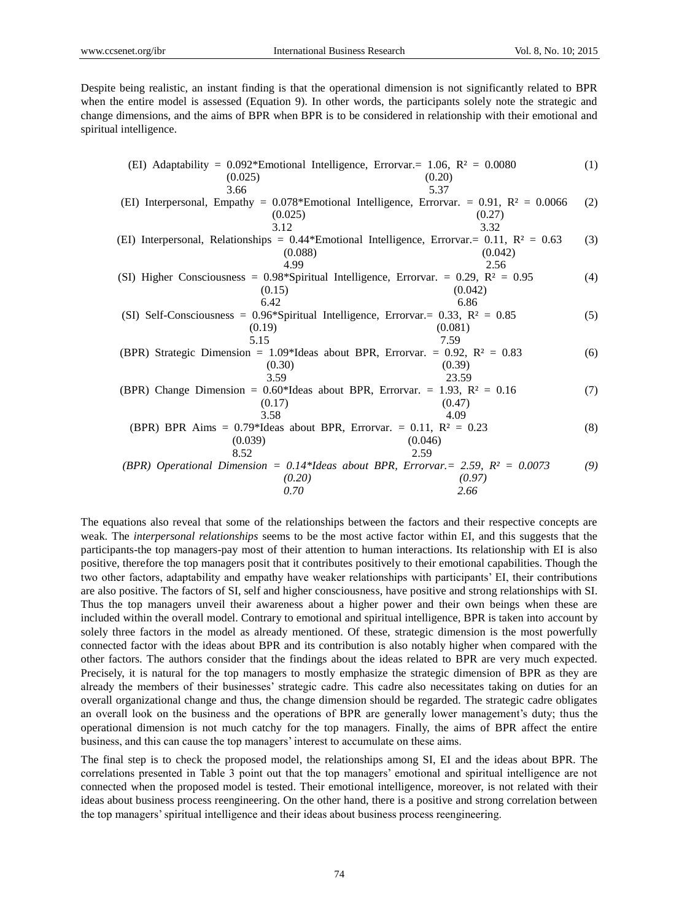Despite being realistic, an instant finding is that the operational dimension is not significantly related to BPR when the entire model is assessed (Equation 9). In other words, the participants solely note the strategic and change dimensions, and the aims of BPR when BPR is to be considered in relationship with their emotional and spiritual intelligence.

| (EI) Adaptability = $0.092*$ Emotional Intelligence, Errorvar. = 1.06, R <sup>2</sup> = 0.0080                  |         | (1) |
|-----------------------------------------------------------------------------------------------------------------|---------|-----|
| (0.20)<br>(0.025)                                                                                               |         |     |
| 3.66<br>5.37                                                                                                    |         |     |
| (EI) Interpersonal, Empathy = $0.078*$ Emotional Intelligence, Errorvar. = 0.91, R <sup>2</sup> = 0.0066        |         | (2) |
| (0.025)                                                                                                         | (0.27)  |     |
| 3.12                                                                                                            | 3.32    |     |
| (EI) Interpersonal, Relationships = $0.44*Emotional$ Intelligence, Errorvar. = $0.11$ , R <sup>2</sup> = $0.63$ |         | (3) |
| (0.088)                                                                                                         | (0.042) |     |
| 4.99                                                                                                            | 2.56    |     |
| (SI) Higher Consciousness = $0.98*$ Spiritual Intelligence, Errorvar. = 0.29, R <sup>2</sup> = 0.95             |         | (4) |
| (0.15)                                                                                                          | (0.042) |     |
| 6.42                                                                                                            | 6.86    |     |
| (SI) Self-Consciousness = $0.96*$ Spiritual Intelligence, Errorvar. = 0.33, R <sup>2</sup> = 0.85               |         | (5) |
| (0.19)                                                                                                          | (0.081) |     |
| 5.15<br>7.59                                                                                                    |         |     |
| (BPR) Strategic Dimension = $1.09*$ Ideas about BPR, Errorvar. = 0.92, R <sup>2</sup> = 0.83                    |         | (6) |
| (0.30)                                                                                                          | (0.39)  |     |
| 3.59                                                                                                            | 23.59   |     |
| (BPR) Change Dimension = $0.60*$ Ideas about BPR, Errorvar. = 1.93, R <sup>2</sup> = 0.16                       |         | (7) |
| (0.17)                                                                                                          | (0.47)  |     |
| 3.58                                                                                                            | 4.09    |     |
| (BPR) BPR Aims = $0.79*$ Ideas about BPR, Errorvar. = 0.11, R <sup>2</sup> = 0.23                               |         | (8) |
| (0.039)<br>(0.046)                                                                                              |         |     |
| 8.52<br>2.59                                                                                                    |         |     |
| (BPR) Operational Dimension = $0.14*$ Ideas about BPR, Errorvar. = 2.59, R <sup>2</sup> = 0.0073                |         | (9) |
| (0.20)                                                                                                          | (0.97)  |     |
| 0.70                                                                                                            | 2.66    |     |

The equations also reveal that some of the relationships between the factors and their respective concepts are weak. The *interpersonal relationships* seems to be the most active factor within EI, and this suggests that the participants-the top managers-pay most of their attention to human interactions. Its relationship with EI is also positive, therefore the top managers posit that it contributes positively to their emotional capabilities. Though the two other factors, adaptability and empathy have weaker relationships with participants' EI, their contributions are also positive. The factors of SI, self and higher consciousness, have positive and strong relationships with SI. Thus the top managers unveil their awareness about a higher power and their own beings when these are included within the overall model. Contrary to emotional and spiritual intelligence, BPR is taken into account by solely three factors in the model as already mentioned. Of these, strategic dimension is the most powerfully connected factor with the ideas about BPR and its contribution is also notably higher when compared with the other factors. The authors consider that the findings about the ideas related to BPR are very much expected. Precisely, it is natural for the top managers to mostly emphasize the strategic dimension of BPR as they are already the members of their businesses' strategic cadre. This cadre also necessitates taking on duties for an overall organizational change and thus, the change dimension should be regarded. The strategic cadre obligates an overall look on the business and the operations of BPR are generally lower management's duty; thus the operational dimension is not much catchy for the top managers. Finally, the aims of BPR affect the entire business, and this can cause the top managers' interest to accumulate on these aims.

The final step is to check the proposed model, the relationships among SI, EI and the ideas about BPR. The correlations presented in Table 3 point out that the top managers' emotional and spiritual intelligence are not connected when the proposed model is tested. Their emotional intelligence, moreover, is not related with their ideas about business process reengineering. On the other hand, there is a positive and strong correlation between the top managers' spiritual intelligence and their ideas about business process reengineering.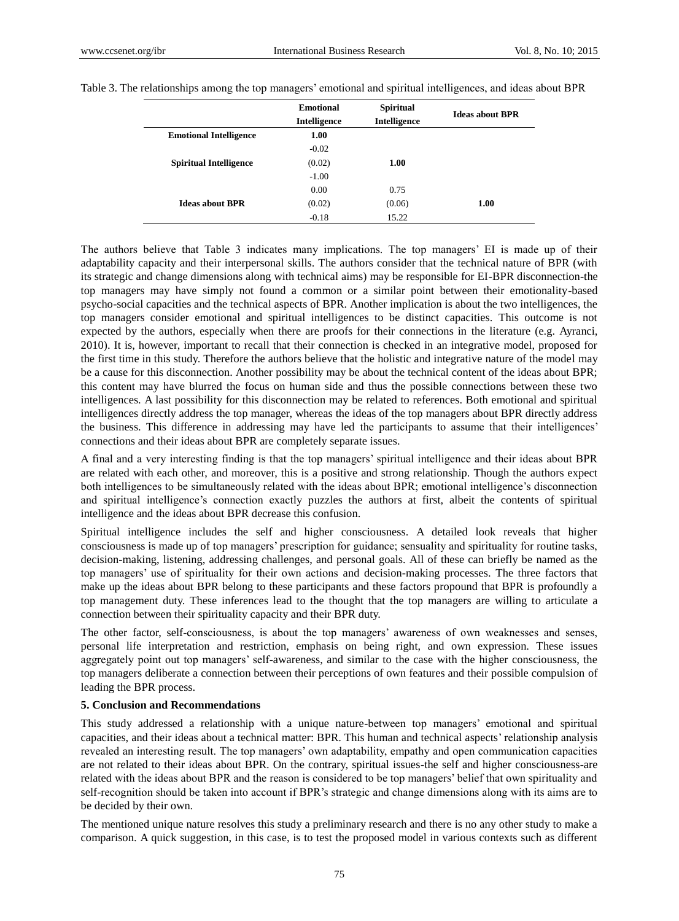|                               | <b>Emotional</b>    | <b>Spiritual</b>    | <b>Ideas about BPR</b> |
|-------------------------------|---------------------|---------------------|------------------------|
|                               | <b>Intelligence</b> | <b>Intelligence</b> |                        |
| <b>Emotional Intelligence</b> | 1.00                |                     |                        |
|                               | $-0.02$             |                     |                        |
| <b>Spiritual Intelligence</b> | (0.02)              | 1.00                |                        |
|                               | $-1.00$             |                     |                        |
|                               | 0.00                | 0.75                |                        |
| <b>Ideas about BPR</b>        | (0.02)              | (0.06)              | 1.00                   |
|                               | $-0.18$             | 15.22               |                        |

Table 3. The relationships among the top managers' emotional and spiritual intelligences, and ideas about BPR

The authors believe that Table 3 indicates many implications. The top managers' EI is made up of their adaptability capacity and their interpersonal skills. The authors consider that the technical nature of BPR (with its strategic and change dimensions along with technical aims) may be responsible for EI-BPR disconnection-the top managers may have simply not found a common or a similar point between their emotionality-based psycho-social capacities and the technical aspects of BPR. Another implication is about the two intelligences, the top managers consider emotional and spiritual intelligences to be distinct capacities. This outcome is not expected by the authors, especially when there are proofs for their connections in the literature (e.g. Ayranci, 2010). It is, however, important to recall that their connection is checked in an integrative model, proposed for the first time in this study. Therefore the authors believe that the holistic and integrative nature of the model may be a cause for this disconnection. Another possibility may be about the technical content of the ideas about BPR; this content may have blurred the focus on human side and thus the possible connections between these two intelligences. A last possibility for this disconnection may be related to references. Both emotional and spiritual intelligences directly address the top manager, whereas the ideas of the top managers about BPR directly address the business. This difference in addressing may have led the participants to assume that their intelligences' connections and their ideas about BPR are completely separate issues.

A final and a very interesting finding is that the top managers' spiritual intelligence and their ideas about BPR are related with each other, and moreover, this is a positive and strong relationship. Though the authors expect both intelligences to be simultaneously related with the ideas about BPR; emotional intelligence's disconnection and spiritual intelligence's connection exactly puzzles the authors at first, albeit the contents of spiritual intelligence and the ideas about BPR decrease this confusion.

Spiritual intelligence includes the self and higher consciousness. A detailed look reveals that higher consciousness is made up of top managers' prescription for guidance; sensuality and spirituality for routine tasks, decision-making, listening, addressing challenges, and personal goals. All of these can briefly be named as the top managers' use of spirituality for their own actions and decision-making processes. The three factors that make up the ideas about BPR belong to these participants and these factors propound that BPR is profoundly a top management duty. These inferences lead to the thought that the top managers are willing to articulate a connection between their spirituality capacity and their BPR duty.

The other factor, self-consciousness, is about the top managers' awareness of own weaknesses and senses, personal life interpretation and restriction, emphasis on being right, and own expression. These issues aggregately point out top managers' self-awareness, and similar to the case with the higher consciousness, the top managers deliberate a connection between their perceptions of own features and their possible compulsion of leading the BPR process.

#### **5. Conclusion and Recommendations**

This study addressed a relationship with a unique nature-between top managers' emotional and spiritual capacities, and their ideas about a technical matter: BPR. This human and technical aspects' relationship analysis revealed an interesting result. The top managers' own adaptability, empathy and open communication capacities are not related to their ideas about BPR. On the contrary, spiritual issues-the self and higher consciousness-are related with the ideas about BPR and the reason is considered to be top managers' belief that own spirituality and self-recognition should be taken into account if BPR's strategic and change dimensions along with its aims are to be decided by their own.

The mentioned unique nature resolves this study a preliminary research and there is no any other study to make a comparison. A quick suggestion, in this case, is to test the proposed model in various contexts such as different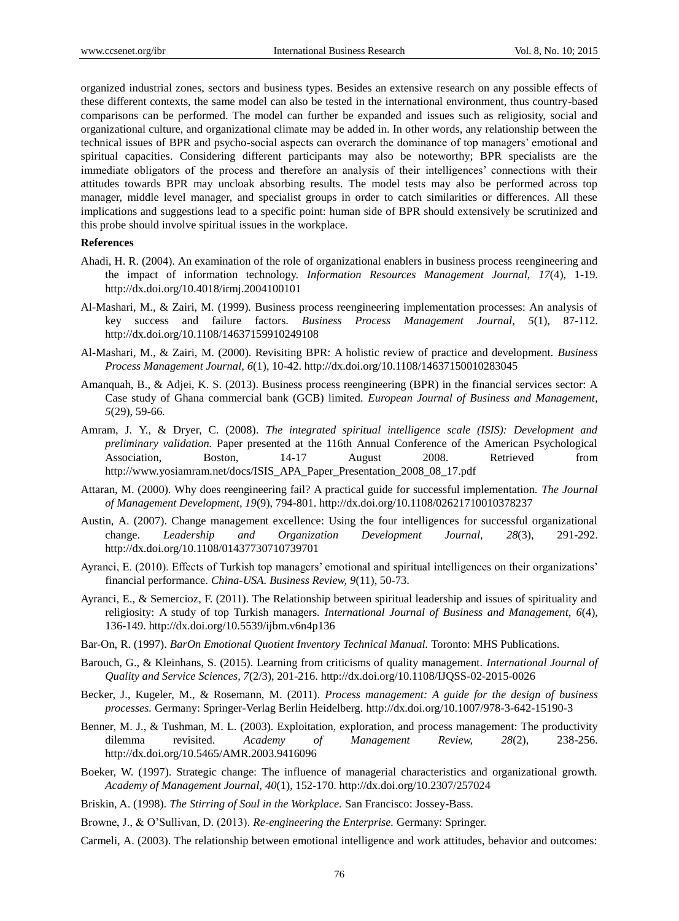organized industrial zones, sectors and business types. Besides an extensive research on any possible effects of these different contexts, the same model can also be tested in the international environment, thus country-based comparisons can be performed. The model can further be expanded and issues such as religiosity, social and organizational culture, and organizational climate may be added in. In other words, any relationship between the technical issues of BPR and psycho-social aspects can overarch the dominance of top managers' emotional and spiritual capacities. Considering different participants may also be noteworthy; BPR specialists are the immediate obligators of the process and therefore an analysis of their intelligences' connections with their attitudes towards BPR may uncloak absorbing results. The model tests may also be performed across top manager, middle level manager, and specialist groups in order to catch similarities or differences. All these implications and suggestions lead to a specific point: human side of BPR should extensively be scrutinized and this probe should involve spiritual issues in the workplace.

### **References**

- Ahadi, H. R. (2004). An examination of the role of organizational enablers in business process reengineering and the impact of information technology. *Information Resources Management Journal, 17*(4), 1-19. http://dx.doi.org/10.4018/irmj.2004100101
- Al-Mashari, M., & Zairi, M. (1999). Business process reengineering implementation processes: An analysis of key success and failure factors. *Business Process Management Journal, 5*(1), 87-112. <http://dx.doi.org/10.1108/14637159910249108>
- Al-Mashari, M., & Zairi, M. (2000). Revisiting BPR: A holistic review of practice and development. *Business Process Management Journal, 6*(1), 10-42. http://dx.doi.org/10.1108/14637150010283045
- Amanquah, B., & Adjei, K. S. (2013). Business process reengineering (BPR) in the financial services sector: A Case study of Ghana commercial bank (GCB) limited. *European Journal of Business and Management, 5*(29), 59-66.
- Amram, J. Y., & Dryer, C. (2008). *The integrated spiritual intelligence scale (ISIS): Development and preliminary validation.* Paper presented at the 116th Annual Conference of the American Psychological Association, Boston, 14-17 August 2008. Retrieved from http://www.yosiamram.net/docs/ISIS\_APA\_Paper\_Presentation\_2008\_08\_17.pdf
- Attaran, M. (2000). Why does reengineering fail? A practical guide for successful implementation. *The Journal of Management Development, 19*(9), 794-801. http://dx.doi.org/10.1108/02621710010378237
- Austin, A. (2007). Change management excellence: Using the four intelligences for successful organizational change. *Leadership and Organization Development Journal, 28*(3), 291-292. <http://dx.doi.org/10.1108/01437730710739701>
- Ayranci, E. (2010). Effects of Turkish top managers' emotional and spiritual intelligences on their organizations' financial performance. *China-USA. Business Review, 9*(11), 50-73.
- Ayranci, E., & Semercioz, F. (2011). The Relationship between spiritual leadership and issues of spirituality and religiosity: A study of top Turkish managers. *International Journal of Business and Management, 6*(4), 136-149. http://dx.doi.org/10.5539/ijbm.v6n4p136
- Bar-On, R. (1997). *BarOn Emotional Quotient Inventory Technical Manual.* Toronto: MHS Publications.
- Barouch, G., & Kleinhans, S. (2015). Learning from criticisms of quality management. *International Journal of Quality and Service Sciences, 7*(2/3), 201-216. <http://dx.doi.org/10.1108/IJQSS-02-2015-0026>
- Becker, J., Kugeler, M., & Rosemann, M. (2011). *Process management: A guide for the design of business processes.* Germany: Springer-Verlag Berlin Heidelberg. <http://dx.doi.org/10.1007/978-3-642-15190-3>
- Benner, M. J., & Tushman, M. L. (2003). Exploitation, exploration, and process management: The productivity dilemma revisited. *Academy of Management Review, 28*(2), 238-256. http://dx.doi.org/10.5465/AMR.2003.9416096
- Boeker, W. (1997). Strategic change: The influence of managerial characteristics and organizational growth. *Academy of Management Journal, 40*(1), 152-170. http://dx.doi.org/10.2307/257024
- Briskin, A. (1998). *The Stirring of Soul in the Workplace.* San Francisco: Jossey-Bass.
- Browne, J., & O'Sullivan, D. (2013). *Re-engineering the Enterprise.* Germany: Springer.
- Carmeli, A. (2003). The relationship between emotional intelligence and work attitudes, behavior and outcomes: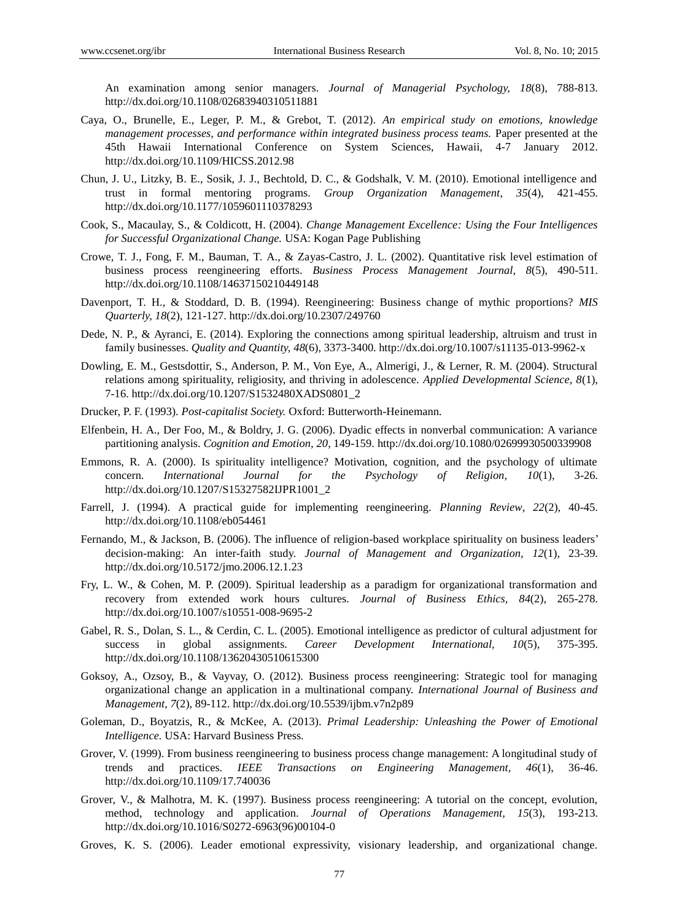An examination among senior managers. *Journal of Managerial Psychology, 18*(8), 788-813. http://dx.doi.org/10.1108/02683940310511881

- Caya, O., Brunelle, E., Leger, P. M., & Grebot, T. (2012). *An empirical study on emotions, knowledge management processes, and performance within integrated business process teams.* Paper presented at the 45th Hawaii International Conference on System Sciences, Hawaii, 4-7 January 2012. <http://dx.doi.org/10.1109/HICSS.2012.98>
- Chun, J. U., Litzky, B. E., Sosik, J. J., Bechtold, D. C., & Godshalk, V. M. (2010). Emotional intelligence and trust in formal mentoring programs. *Group Organization Management*, *35*(4), 421-455. <http://dx.doi.org/10.1177/1059601110378293>
- Cook, S., Macaulay, S., & Coldicott, H. (2004). *Change Management Excellence: Using the Four Intelligences for Successful Organizational Change.* USA: Kogan Page Publishing
- Crowe, T. J., Fong, F. M., Bauman, T. A., & Zayas-Castro, J. L. (2002). Quantitative risk level estimation of business process reengineering efforts. *Business Process Management Journal, 8*(5), 490-511. http://dx.doi.org/10.1108/14637150210449148
- Davenport, T. H., & Stoddard, D. B. (1994). Reengineering: Business change of mythic proportions? *MIS Quarterly, 18*(2), 121-127. http://dx.doi.org/10.2307/249760
- Dede, N. P., & Ayranci, E. (2014). Exploring the connections among spiritual leadership, altruism and trust in family businesses. *Quality and Quantity, 48*(6), 3373-3400. http://dx.doi.org/10.1007/s11135-013-9962-x
- Dowling, E. M., Gestsdottir, S., Anderson, P. M., Von Eye, A., Almerigi, J., & Lerner, R. M. (2004). Structural relations among spirituality, religiosity, and thriving in adolescence. *Applied Developmental Science, 8*(1), 7-16. http://dx.doi.org/10.1207/S1532480XADS0801\_2
- Drucker, P. F. (1993). *Post-capitalist Society.* Oxford: Butterworth-Heinemann.
- Elfenbein, H. A., Der Foo, M., & Boldry, J. G. (2006). Dyadic effects in nonverbal communication: A variance partitioning analysis. *Cognition and Emotion, 20*, 149-159. <http://dx.doi.org/10.1080/02699930500339908>
- Emmons, R. A. (2000). Is spirituality intelligence? Motivation, cognition, and the psychology of ultimate concern. *International Journal for the Psychology of Religion, 10*(1), 3-26. http://dx.doi.org/10.1207/S15327582IJPR1001\_2
- Farrell, J. (1994). A practical guide for implementing reengineering. *Planning Review*, *22*(2), 40-45. http://dx.doi.org/10.1108/eb054461
- Fernando, M., & Jackson, B. (2006). The influence of religion-based workplace spirituality on business leaders' decision-making: An inter-faith study. *Journal of Management and Organization, 12*(1), 23-39. http://dx.doi.org/10.5172/jmo.2006.12.1.23
- Fry, L. W., & Cohen, M. P. (2009). Spiritual leadership as a paradigm for organizational transformation and recovery from extended work hours cultures. *Journal of Business Ethics, 84*(2), 265-278. http://dx.doi.org/10.1007/s10551-008-9695-2
- Gabel, R. S., Dolan, S. L., & Cerdin, C. L. (2005). Emotional intelligence as predictor of cultural adjustment for success in global assignments. *Career Development International, 10*(5), 375-395. <http://dx.doi.org/10.1108/13620430510615300>
- Goksoy, A., Ozsoy, B., & Vayvay, O. (2012). Business process reengineering: Strategic tool for managing organizational change an application in a multinational company. *International Journal of Business and Management, 7*(2), 89-112. <http://dx.doi.org/10.5539/ijbm.v7n2p89>
- Goleman, D., Boyatzis, R., & McKee, A. (2013). *Primal Leadership: Unleashing the Power of Emotional Intelligence.* USA: Harvard Business Press.
- Grover, V. (1999). From business reengineering to business process change management: A longitudinal study of trends and practices. *IEEE Transactions on Engineering Management, 46*(1), 36-46. http://dx.doi.org/10.1109/17.740036
- Grover, V., & Malhotra, M. K. (1997). Business process reengineering: A tutorial on the concept, evolution, method, technology and application. *Journal of Operations Management, 15*(3), 193-213. http://dx.doi.org/10.1016/S0272-6963(96)00104-0
- Groves, K. S. (2006). Leader emotional expressivity, visionary leadership, and organizational change.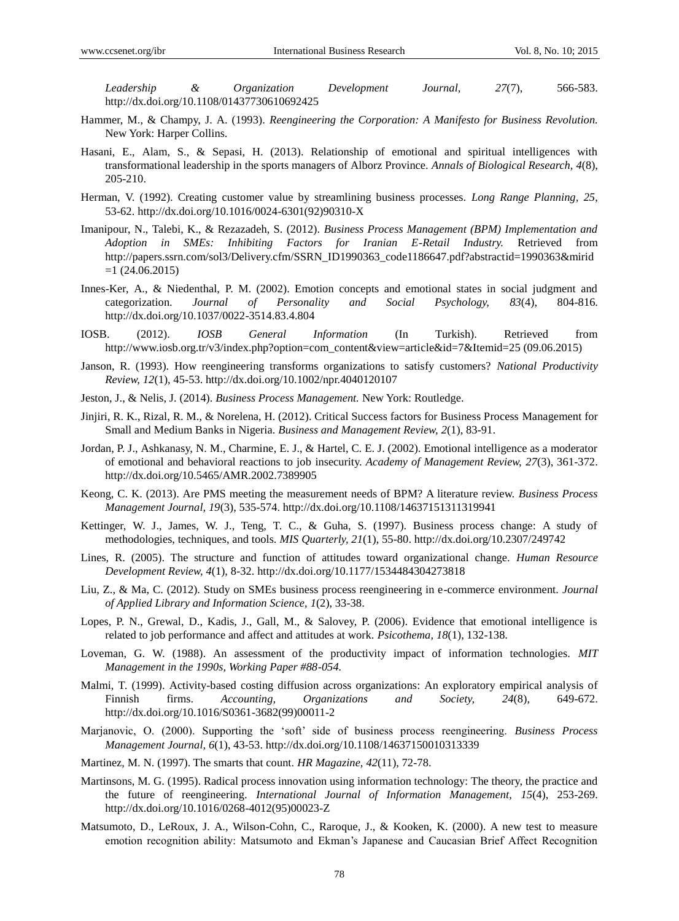*Leadership & Organization Development Journal, 27*(7), 566-583. http://dx.doi.org/10.1108/01437730610692425

- Hammer, M., & Champy, J. A. (1993). *Reengineering the Corporation: A Manifesto for Business Revolution.*  New York: Harper Collins.
- Hasani, E., Alam, S., & Sepasi, H. (2013). Relationship of emotional and spiritual intelligences with transformational leadership in the sports managers of Alborz Province. *Annals of Biological Research, 4*(8), 205-210.
- Herman, V. (1992). Creating customer value by streamlining business processes. *Long Range Planning, 25*, 53-62. [http://dx.doi.org/10.1016/0024-6301\(92\)90310-X](http://dx.doi.org/10.1016/0024-6301(92)90310-X)
- Imanipour, N., Talebi, K., & Rezazadeh, S. (2012). *Business Process Management (BPM) Implementation and Adoption in SMEs: Inhibiting Factors for Iranian E-Retail Industry.* Retrieved from http://papers.ssrn.com/sol3/Delivery.cfm/SSRN\_ID1990363\_code1186647.pdf?abstractid=1990363&mirid  $=1$  (24.06.2015)
- Innes-Ker, A., & Niedenthal, P. M. (2002). Emotion concepts and emotional states in social judgment and categorization. *Journal of Personality and Social Psychology, 83*(4), 804-816. http://dx.doi.org/10.1037/0022-3514.83.4.804
- IOSB. (2012). *IOSB General Information* (In Turkish). Retrieved from http://www.iosb.org.tr/v3/index.php?option=com\_content&view=article&id=7&Itemid=25 (09.06.2015)
- Janson, R. (1993). How reengineering transforms organizations to satisfy customers? *National Productivity Review, 12*(1), 45-53. http://dx.doi.org/10.1002/npr.4040120107
- Jeston, J., & Nelis, J. (2014). *Business Process Management.* New York: Routledge.
- Jinjiri, R. K., Rizal, R. M., & Norelena, H. (2012). Critical Success factors for Business Process Management for Small and Medium Banks in Nigeria. *Business and Management Review, 2*(1), 83-91.
- Jordan, P. J., Ashkanasy, N. M., Charmine, E. J., & Hartel, C. E. J. (2002). Emotional intelligence as a moderator of emotional and behavioral reactions to job insecurity. *Academy of Management Review, 27*(3), 361-372. http://dx.doi.org/10.5465/AMR.2002.7389905
- Keong, C. K. (2013). Are PMS meeting the measurement needs of BPM? A literature review. *Business Process Management Journal, 19*(3), 535-574. http://dx.doi.org/10.1108/14637151311319941
- Kettinger, W. J., James, W. J., Teng, T. C., & Guha, S. (1997). Business process change: A study of methodologies, techniques, and tools. *MIS Quarterly, 21*(1), 55-80. http://dx.doi.org/10.2307/249742
- Lines, R. (2005). The structure and function of attitudes toward organizational change. *Human Resource Development Review, 4*(1), 8-32. http://dx.doi.org/10.1177/1534484304273818
- Liu, Z., & Ma, C. (2012). Study on SMEs business process reengineering in e-commerce environment. *Journal of Applied Library and Information Science, 1*(2), 33-38.
- Lopes, P. N., Grewal, D., Kadis, J., Gall, M., & Salovey, P. (2006). Evidence that emotional intelligence is related to job performance and affect and attitudes at work. *Psicothema, 18*(1), 132-138.
- Loveman, G. W. (1988). An assessment of the productivity impact of information technologies. *MIT Management in the 1990s, Working Paper #88-054.*
- Malmi, T. (1999). Activity-based costing diffusion across organizations: An exploratory empirical analysis of Finnish firms. *Accounting, Organizations and Society, 24*(8), 649-672. http://dx.doi.org/10.1016/S0361-3682(99)00011-2
- Marjanovic, O. (2000). Supporting the 'soft' side of business process reengineering. *Business Process Management Journal, 6*(1), 43-53. <http://dx.doi.org/10.1108/14637150010313339>
- Martinez, M. N. (1997). The smarts that count. *HR Magazine, 42*(11), 72-78.
- Martinsons, M. G. (1995). Radical process innovation using information technology: The theory, the practice and the future of reengineering. *International Journal of Information Management, 15*(4), 253-269. http://dx.doi.org/10.1016/0268-4012(95)00023-Z
- Matsumoto, D., LeRoux, J. A., Wilson-Cohn, C., Raroque, J., & Kooken, K. (2000). A new test to measure emotion recognition ability: Matsumoto and Ekman's Japanese and Caucasian Brief Affect Recognition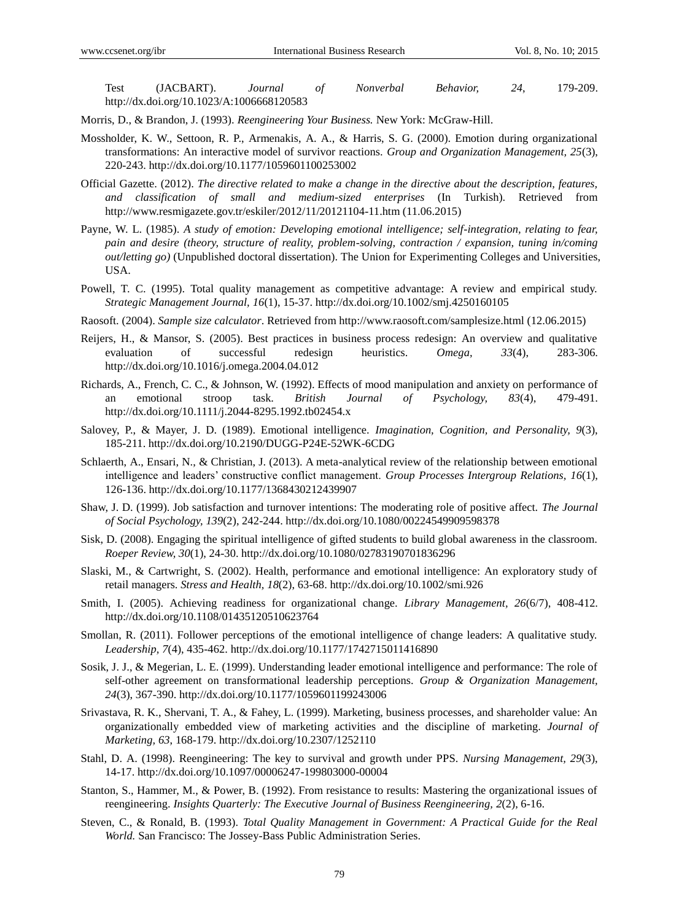Test (JACBART). *Journal of Nonverbal Behavior, 24*, 179-209. <http://dx.doi.org/10.1023/A:1006668120583>

- Morris, D., & Brandon, J. (1993). *Reengineering Your Business.* New York: McGraw-Hill.
- Mossholder, K. W., Settoon, R. P., Armenakis, A. A., & Harris, S. G. (2000). Emotion during organizational transformations: An interactive model of survivor reactions. *Group and Organization Management, 25*(3), 220-243. http://dx.doi.org/10.1177/1059601100253002
- Official Gazette. (2012). *The directive related to make a change in the directive about the description, features, and classification of small and medium-sized enterprises* (In Turkish). Retrieved from http://www.resmigazete.gov.tr/eskiler/2012/11/20121104-11.htm (11.06.2015)
- Payne, W. L. (1985). *A study of emotion: Developing emotional intelligence; self-integration, relating to fear, pain and desire (theory, structure of reality, problem-solving, contraction / expansion, tuning in/coming out/letting go)* (Unpublished doctoral dissertation). The Union for Experimenting Colleges and Universities, USA.
- Powell, T. C. (1995). Total quality management as competitive advantage: A review and empirical study. *Strategic Management Journal, 16*(1), 15-37. http://dx.doi.org/10.1002/smj.4250160105
- Raosoft. (2004). *Sample size calculator*. Retrieved from http://www.raosoft.com/samplesize.html (12.06.2015)
- Reijers, H., & Mansor, S. (2005). Best practices in business process redesign: An overview and qualitative evaluation of successful redesign heuristics. *Omega, 33*(4), 283-306. http://dx.doi.org/10.1016/j.omega.2004.04.012
- Richards, A., French, C. C., & Johnson, W. (1992). Effects of mood manipulation and anxiety on performance of an emotional stroop task. *British Journal of Psychology, 83*(4), 479-491. http://dx.doi.org/10.1111/j.2044-8295.1992.tb02454.x
- Salovey, P., & Mayer, J. D. (1989). Emotional intelligence. *Imagination, Cognition, and Personality, 9*(3), 185-211. http://dx.doi.org/10.2190/DUGG-P24E-52WK-6CDG
- Schlaerth, A., Ensari, N., & Christian, J. (2013). A meta-analytical review of the relationship between emotional intelligence and leaders' constructive conflict management. *Group Processes Intergroup Relations, 16*(1), 126-136. <http://dx.doi.org/10.1177/1368430212439907>
- Shaw, J. D. (1999). Job satisfaction and turnover intentions: The moderating role of positive affect. *The Journal of Social Psychology, 139*(2), 242-244. http://dx.doi.org/10.1080/00224549909598378
- Sisk, D. (2008). Engaging the spiritual intelligence of gifted students to build global awareness in the classroom. *Roeper Review, 30*(1), 24-30. http://dx.doi.org/10.1080/02783190701836296
- Slaski, M., & Cartwright, S. (2002). Health, performance and emotional intelligence: An exploratory study of retail managers. *Stress and Health, 18*(2), 63-68. http://dx.doi.org/10.1002/smi.926
- Smith, I. (2005). Achieving readiness for organizational change. *Library Management, 26*(6/7), 408-412. <http://dx.doi.org/10.1108/01435120510623764>
- Smollan, R. (2011). Follower perceptions of the emotional intelligence of change leaders: A qualitative study. *Leadership, 7*(4), 435-462. http://dx.doi.org/10.1177/1742715011416890
- Sosik, J. J., & Megerian, L. E. (1999). Understanding leader emotional intelligence and performance: The role of self-other agreement on transformational leadership perceptions. *Group & Organization Management, 24*(3), 367-390. http://dx.doi.org/10.1177/1059601199243006
- Srivastava, R. K., Shervani, T. A., & Fahey, L. (1999). Marketing, business processes, and shareholder value: An organizationally embedded view of marketing activities and the discipline of marketing. *Journal of Marketing, 63*, 168-179. http://dx.doi.org/10.2307/1252110
- Stahl, D. A. (1998). Reengineering: The key to survival and growth under PPS. *Nursing Management, 29*(3), 14-17. http://dx.doi.org/10.1097/00006247-199803000-00004
- Stanton, S., Hammer, M., & Power, B. (1992). From resistance to results: Mastering the organizational issues of reengineering. *Insights Quarterly: The Executive Journal of Business Reengineering, 2*(2), 6-16.
- Steven, C., & Ronald, B. (1993). *Total Quality Management in Government: A Practical Guide for the Real World.* San Francisco: The Jossey-Bass Public Administration Series.